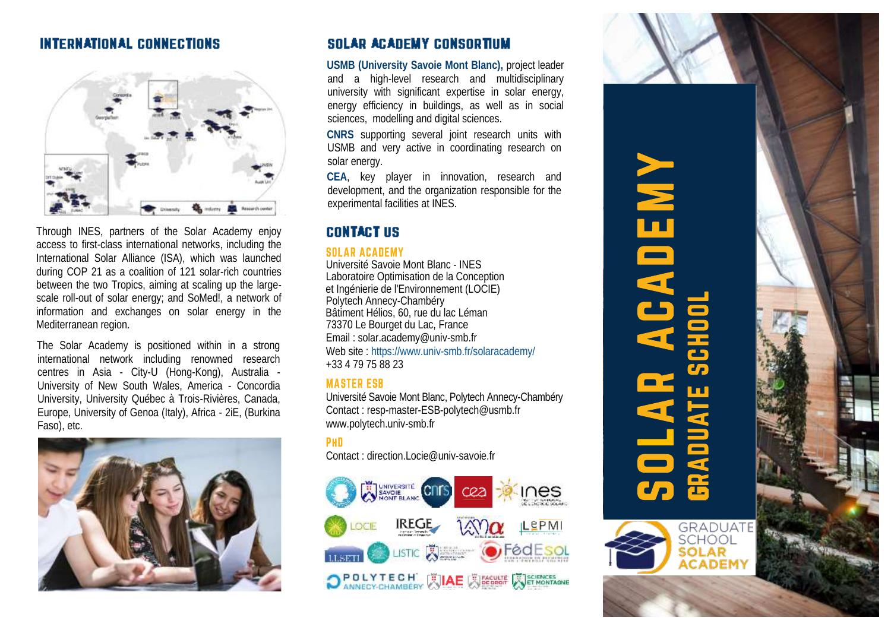### **INTERNATIONAL CONNECTIONS**



Through INES, partners of the Solar Academy enjoy access to first-class international networks, including the International Solar Alliance (ISA), which was launched during COP 21 as a coalition of 121 solar-rich countries between the two Tropics, aiming at scaling up the largescale roll-out of solar energy; and SoMed!, a network of information and exchanges on solar energy in the Mediterranean region.

The Solar Academy is positioned within in a strong international network including renowned research centres in Asia - City-U (Hong-Kong), Australia -University of New South Wales, America - Concordia University, University Québec à Trois-Rivières, Canada, Europe, University of Genoa (Italy), Africa - 2iE, (Burkina Faso), etc.



### **SOLAR ACADEMY CONSORTIUM**

**USMB (University Savoie Mont Blanc),** project leader and a high-level research and multidisciplinary university with significant expertise in solar energy, energy efficiency in buildings, as well as in social sciences, modelling and digital sciences.

**CNRS** supporting several joint research units with USMB and very active in coordinating research on solar energy.

**CEA**, key player in innovation, research and development, and the organization responsible for the experimental facilities at INES.

### **CONTACT US**

### **SOLAR ACADEMY**

Université Savoie Mont Blanc - INES Laboratoire Optimisation de la Conception et Ingénierie de l'Environnement (LOCIE) Polytech Annecy-Chambéry Bâtiment Hélios, 60, rue du lac Léman 73370 Le Bourget du Lac, France Email : solar.academy@univ-smb.fr Web site : <https://www.univ-smb.fr/solaracademy/> +33 4 79 75 88 23

### **MASTER ESB**

Université Savoie Mont Blanc, Polytech Annecy-Chambéry Contact : resp-master-ESB-polytech@usmb.fr www.polytech.univ-smb.fr

### PHD

Contact : direction.Locie@univ-savoie.fr